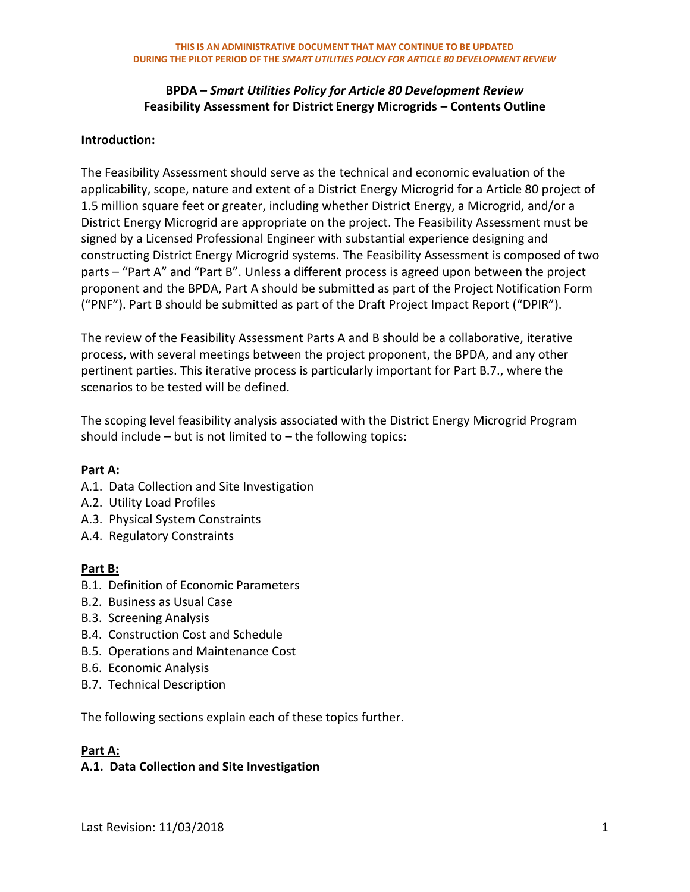#### **Introduction:**

The Feasibility Assessment should serve as the technical and economic evaluation of the applicability, scope, nature and extent of a District Energy Microgrid for a Article 80 project of 1.5 million square feet or greater, including whether District Energy, a Microgrid, and/or a District Energy Microgrid are appropriate on the project. The Feasibility Assessment must be signed by a Licensed Professional Engineer with substantial experience designing and constructing District Energy Microgrid systems. The Feasibility Assessment is composed of two parts – "Part A" and "Part B". Unless a different process is agreed upon between the project proponent and the BPDA, Part A should be submitted as part of the Project Notification Form ("PNF"). Part B should be submitted as part of the Draft Project Impact Report ("DPIR").

The review of the Feasibility Assessment Parts A and B should be a collaborative, iterative process, with several meetings between the project proponent, the BPDA, and any other pertinent parties. This iterative process is particularly important for Part B.7., where the scenarios to be tested will be defined.

The scoping level feasibility analysis associated with the District Energy Microgrid Program should include  $-$  but is not limited to  $-$  the following topics:

## **Part A:**

- A.1. Data Collection and Site Investigation
- A.2. Utility Load Profiles
- A.3. Physical System Constraints
- A.4. Regulatory Constraints

#### **Part B:**

- B.1. Definition of Economic Parameters
- B.2. Business as Usual Case
- B.3. Screening Analysis
- B.4. Construction Cost and Schedule
- B.5. Operations and Maintenance Cost
- B.6. Economic Analysis
- B.7. Technical Description

The following sections explain each of these topics further.

#### **Part A:**

#### **A.1. Data Collection and Site Investigation**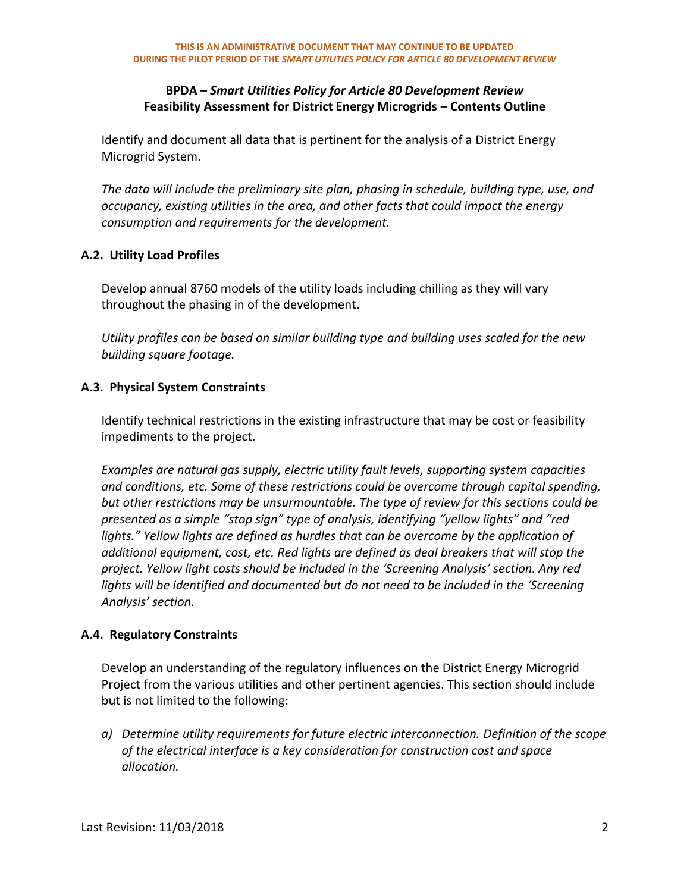Identify and document all data that is pertinent for the analysis of a District Energy Microgrid System.

*The data will include the preliminary site plan, phasing in schedule, building type, use, and occupancy, existing utilities in the area, and other facts that could impact the energy consumption and requirements for the development.*

## **A.2. Utility Load Profiles**

Develop annual 8760 models of the utility loads including chilling as they will vary throughout the phasing in of the development.

*Utility profiles can be based on similar building type and building uses scaled for the new building square footage.*

## **A.3. Physical System Constraints**

Identify technical restrictions in the existing infrastructure that may be cost or feasibility impediments to the project.

*Examples are natural gas supply, electric utility fault levels, supporting system capacities and conditions, etc. Some of these restrictions could be overcome through capital spending, but other restrictions may be unsurmountable. The type of review for this sections could be presented as a simple "stop sign" type of analysis, identifying "yellow lights" and "red lights." Yellow lights are defined as hurdles that can be overcome by the application of additional equipment, cost, etc. Red lights are defined as deal breakers that will stop the project. Yellow light costs should be included in the 'Screening Analysis' section. Any red lights will be identified and documented but do not need to be included in the 'Screening Analysis' section.*

## **A.4. Regulatory Constraints**

Develop an understanding of the regulatory influences on the District Energy Microgrid Project from the various utilities and other pertinent agencies. This section should include but is not limited to the following:

*a) Determine utility requirements for future electric interconnection. Definition of the scope of the electrical interface is a key consideration for construction cost and space allocation.*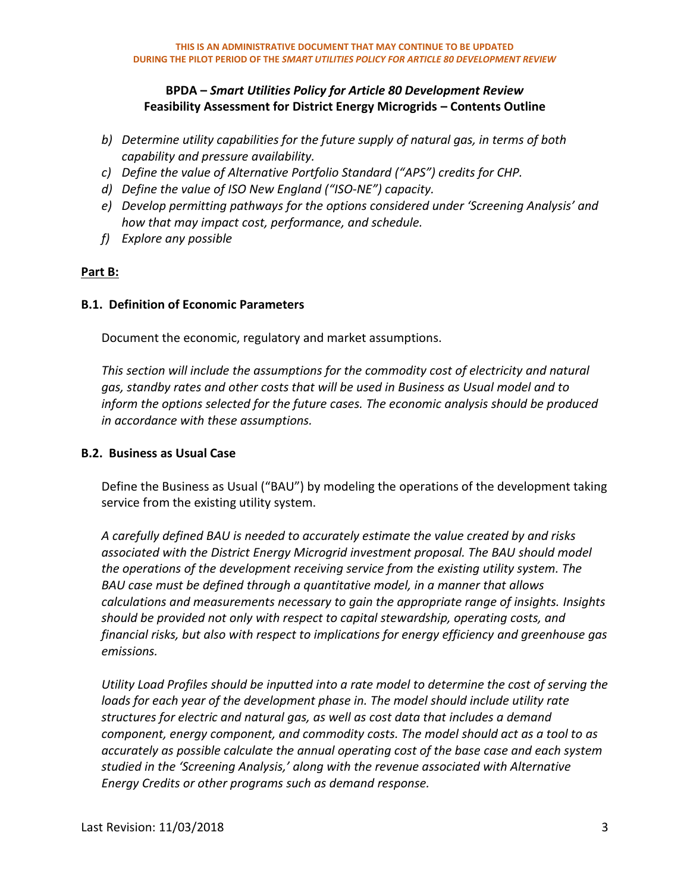- *b) Determine utility capabilities for the future supply of natural gas, in terms of both capability and pressure availability.*
- *c) Define the value of Alternative Portfolio Standard ("APS") credits for CHP.*
- *d) Define the value of ISO New England ("ISO-NE") capacity.*
- *e) Develop permitting pathways for the options considered under 'Screening Analysis' and how that may impact cost, performance, and schedule.*
- *f) Explore any possible*

## **Part B:**

#### **B.1. Definition of Economic Parameters**

Document the economic, regulatory and market assumptions.

*This section will include the assumptions for the commodity cost of electricity and natural gas, standby rates and other costs that will be used in Business as Usual model and to inform the options selected for the future cases. The economic analysis should be produced in accordance with these assumptions.* 

#### **B.2. Business as Usual Case**

Define the Business as Usual ("BAU") by modeling the operations of the development taking service from the existing utility system.

*A carefully defined BAU is needed to accurately estimate the value created by and risks associated with the District Energy Microgrid investment proposal. The BAU should model the operations of the development receiving service from the existing utility system. The BAU case must be defined through a quantitative model, in a manner that allows calculations and measurements necessary to gain the appropriate range of insights. Insights should be provided not only with respect to capital stewardship, operating costs, and financial risks, but also with respect to implications for energy efficiency and greenhouse gas emissions.* 

*Utility Load Profiles should be inputted into a rate model to determine the cost of serving the*  loads for each year of the development phase in. The model should include utility rate *structures for electric and natural gas, as well as cost data that includes a demand component, energy component, and commodity costs. The model should act as a tool to as accurately as possible calculate the annual operating cost of the base case and each system studied in the 'Screening Analysis,' along with the revenue associated with Alternative Energy Credits or other programs such as demand response.*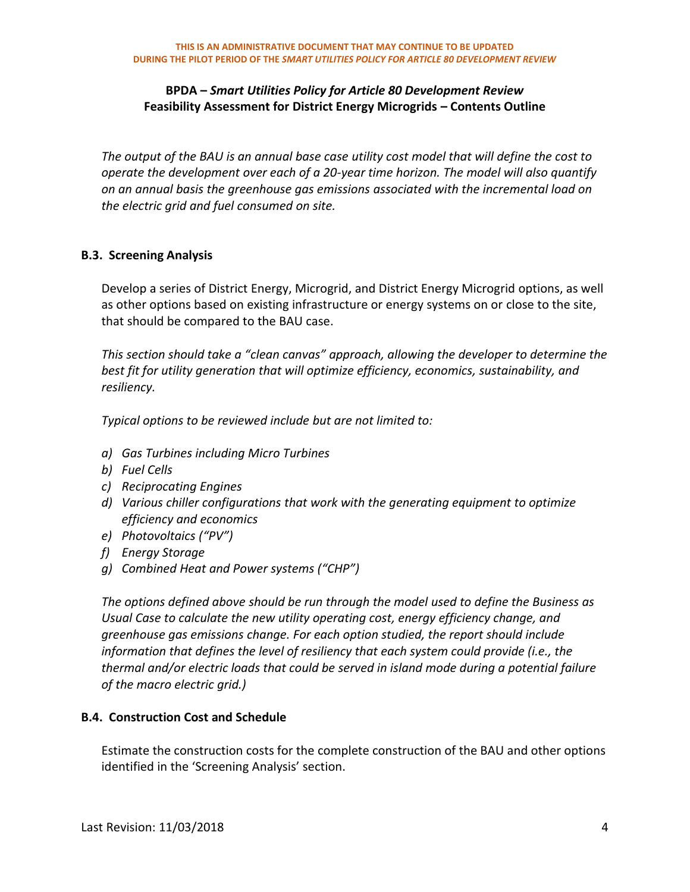*The output of the BAU is an annual base case utility cost model that will define the cost to operate the development over each of a 20-year time horizon. The model will also quantify on an annual basis the greenhouse gas emissions associated with the incremental load on the electric grid and fuel consumed on site.*

### **B.3. Screening Analysis**

Develop a series of District Energy, Microgrid, and District Energy Microgrid options, as well as other options based on existing infrastructure or energy systems on or close to the site, that should be compared to the BAU case.

*This section should take a "clean canvas" approach, allowing the developer to determine the best fit for utility generation that will optimize efficiency, economics, sustainability, and resiliency.* 

*Typical options to be reviewed include but are not limited to:*

- *a) Gas Turbines including Micro Turbines*
- *b) Fuel Cells*
- *c) Reciprocating Engines*
- *d) Various chiller configurations that work with the generating equipment to optimize efficiency and economics*
- *e) Photovoltaics ("PV")*
- *f) Energy Storage*
- *g) Combined Heat and Power systems ("CHP")*

*The options defined above should be run through the model used to define the Business as Usual Case to calculate the new utility operating cost, energy efficiency change, and greenhouse gas emissions change. For each option studied, the report should include information that defines the level of resiliency that each system could provide (i.e., the thermal and/or electric loads that could be served in island mode during a potential failure of the macro electric grid.)* 

#### **B.4. Construction Cost and Schedule**

Estimate the construction costs for the complete construction of the BAU and other options identified in the 'Screening Analysis' section.